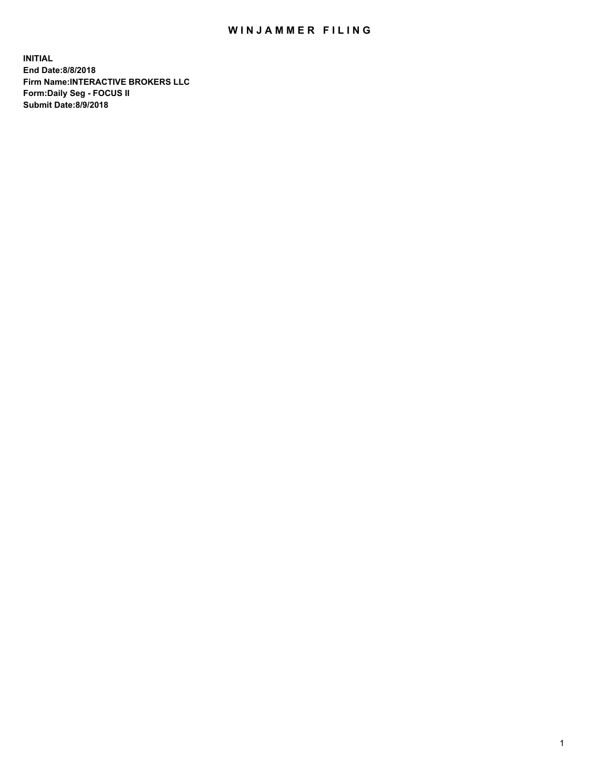## WIN JAMMER FILING

**INITIAL End Date:8/8/2018 Firm Name:INTERACTIVE BROKERS LLC Form:Daily Seg - FOCUS II Submit Date:8/9/2018**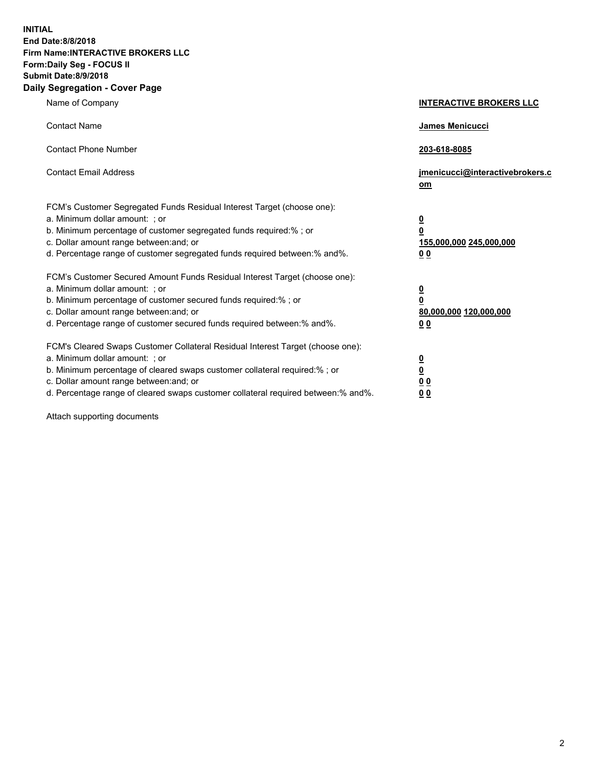**INITIAL End Date:8/8/2018 Firm Name:INTERACTIVE BROKERS LLC Form:Daily Seg - FOCUS II Submit Date:8/9/2018 Daily Segregation - Cover Page**

| Name of Company                                                                                                                                                                                                                                                                                                                | <b>INTERACTIVE BROKERS LLC</b>                                                                  |
|--------------------------------------------------------------------------------------------------------------------------------------------------------------------------------------------------------------------------------------------------------------------------------------------------------------------------------|-------------------------------------------------------------------------------------------------|
| <b>Contact Name</b>                                                                                                                                                                                                                                                                                                            | James Menicucci                                                                                 |
| <b>Contact Phone Number</b>                                                                                                                                                                                                                                                                                                    | 203-618-8085                                                                                    |
| <b>Contact Email Address</b>                                                                                                                                                                                                                                                                                                   | jmenicucci@interactivebrokers.c<br>$om$                                                         |
| FCM's Customer Segregated Funds Residual Interest Target (choose one):<br>a. Minimum dollar amount: ; or<br>b. Minimum percentage of customer segregated funds required:% ; or<br>c. Dollar amount range between: and; or<br>d. Percentage range of customer segregated funds required between:% and%.                         | $\overline{\mathbf{0}}$<br>$\overline{\mathbf{0}}$<br>155,000,000 245,000,000<br>0 <sub>0</sub> |
| FCM's Customer Secured Amount Funds Residual Interest Target (choose one):<br>a. Minimum dollar amount: ; or<br>b. Minimum percentage of customer secured funds required:%; or<br>c. Dollar amount range between: and; or<br>d. Percentage range of customer secured funds required between:% and%.                            | $\overline{\mathbf{0}}$<br>0<br>80,000,000 120,000,000<br>0 <sub>0</sub>                        |
| FCM's Cleared Swaps Customer Collateral Residual Interest Target (choose one):<br>a. Minimum dollar amount: ; or<br>b. Minimum percentage of cleared swaps customer collateral required:% ; or<br>c. Dollar amount range between: and; or<br>d. Percentage range of cleared swaps customer collateral required between:% and%. | $\frac{0}{0}$<br>0 <sub>0</sub><br>0 <sub>0</sub>                                               |

Attach supporting documents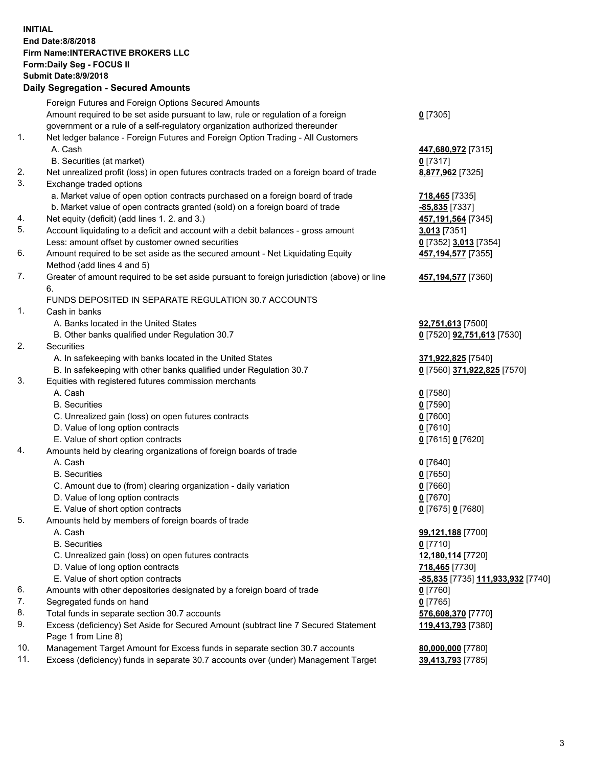## **INITIAL End Date:8/8/2018 Firm Name:INTERACTIVE BROKERS LLC Form:Daily Seg - FOCUS II Submit Date:8/9/2018 Daily Segregation - Secured Amounts**

|     | Daily Ocglegation - Occarea Anioants                                                        |                                   |
|-----|---------------------------------------------------------------------------------------------|-----------------------------------|
|     | Foreign Futures and Foreign Options Secured Amounts                                         |                                   |
|     | Amount required to be set aside pursuant to law, rule or regulation of a foreign            | $0$ [7305]                        |
|     | government or a rule of a self-regulatory organization authorized thereunder                |                                   |
| 1.  | Net ledger balance - Foreign Futures and Foreign Option Trading - All Customers             |                                   |
|     | A. Cash                                                                                     | 447,680,972 [7315]                |
|     | B. Securities (at market)                                                                   | $0$ [7317]                        |
| 2.  | Net unrealized profit (loss) in open futures contracts traded on a foreign board of trade   | 8,877,962 [7325]                  |
| 3.  | Exchange traded options                                                                     |                                   |
|     | a. Market value of open option contracts purchased on a foreign board of trade              | 718,465 [7335]                    |
|     | b. Market value of open contracts granted (sold) on a foreign board of trade                | -85,835 [7337]                    |
| 4.  | Net equity (deficit) (add lines 1.2. and 3.)                                                | 457,191,564 [7345]                |
| 5.  | Account liquidating to a deficit and account with a debit balances - gross amount           | 3,013 [7351]                      |
|     | Less: amount offset by customer owned securities                                            | 0 [7352] 3,013 [7354]             |
| 6.  | Amount required to be set aside as the secured amount - Net Liquidating Equity              | 457, 194, 577 [7355]              |
|     | Method (add lines 4 and 5)                                                                  |                                   |
| 7.  | Greater of amount required to be set aside pursuant to foreign jurisdiction (above) or line | 457,194,577 [7360]                |
|     | 6.                                                                                          |                                   |
|     | FUNDS DEPOSITED IN SEPARATE REGULATION 30.7 ACCOUNTS                                        |                                   |
| 1.  | Cash in banks                                                                               |                                   |
|     | A. Banks located in the United States                                                       | 92,751,613 [7500]                 |
|     | B. Other banks qualified under Regulation 30.7                                              | 0 [7520] <b>92,751,613</b> [7530] |
| 2.  | Securities                                                                                  |                                   |
|     | A. In safekeeping with banks located in the United States                                   | 371,922,825 [7540]                |
|     | B. In safekeeping with other banks qualified under Regulation 30.7                          | 0 [7560] 371,922,825 [7570]       |
| 3.  | Equities with registered futures commission merchants                                       |                                   |
|     | A. Cash                                                                                     | $0$ [7580]                        |
|     | <b>B.</b> Securities                                                                        | $0$ [7590]                        |
|     | C. Unrealized gain (loss) on open futures contracts                                         | $0$ [7600]                        |
|     | D. Value of long option contracts                                                           | $0$ [7610]                        |
|     | E. Value of short option contracts                                                          | 0 [7615] 0 [7620]                 |
| 4.  | Amounts held by clearing organizations of foreign boards of trade                           |                                   |
|     | A. Cash                                                                                     | $0$ [7640]                        |
|     | <b>B.</b> Securities                                                                        | $0$ [7650]                        |
|     | C. Amount due to (from) clearing organization - daily variation                             | $0$ [7660]                        |
|     | D. Value of long option contracts                                                           | $0$ [7670]                        |
|     | E. Value of short option contracts                                                          | 0 [7675] 0 [7680]                 |
| 5.  | Amounts held by members of foreign boards of trade                                          |                                   |
|     | A. Cash                                                                                     | 99,121,188 [7700]                 |
|     | <b>B.</b> Securities                                                                        | $0$ [7710]                        |
|     | C. Unrealized gain (loss) on open futures contracts                                         | 12,180,114 [7720]                 |
|     | D. Value of long option contracts                                                           | 718,465 [7730]                    |
|     | E. Value of short option contracts                                                          | -85,835 [7735] 111,933,932 [7740] |
| 6.  | Amounts with other depositories designated by a foreign board of trade                      | 0 [7760]                          |
| 7.  | Segregated funds on hand                                                                    | $0$ [7765]                        |
| 8.  | Total funds in separate section 30.7 accounts                                               | 576,608,370 [7770]                |
| 9.  | Excess (deficiency) Set Aside for Secured Amount (subtract line 7 Secured Statement         | 119,413,793 [7380]                |
|     | Page 1 from Line 8)                                                                         |                                   |
| 10. | Management Target Amount for Excess funds in separate section 30.7 accounts                 | 80,000,000 [7780]                 |
| 11. | Excess (deficiency) funds in separate 30.7 accounts over (under) Management Target          | 39,413,793 [7785]                 |
|     |                                                                                             |                                   |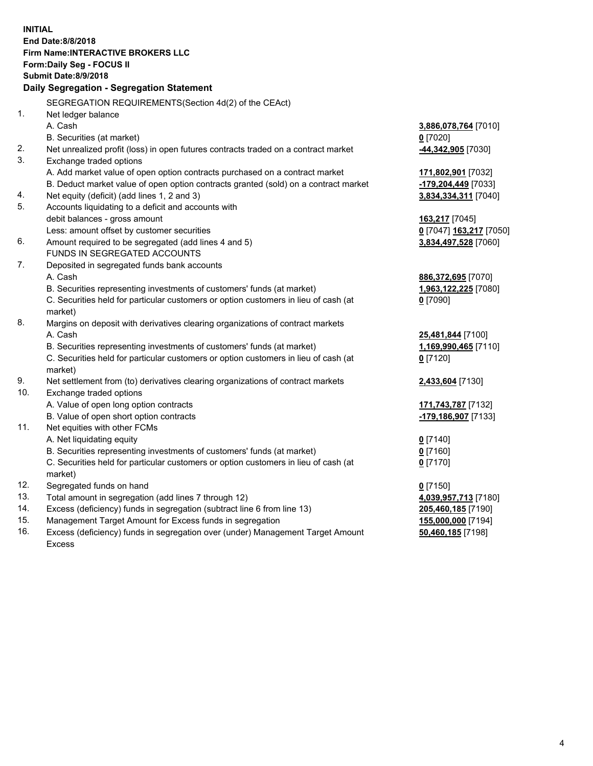|     | <b>INITIAL</b>                                                                      |                          |
|-----|-------------------------------------------------------------------------------------|--------------------------|
|     | End Date: 8/8/2018                                                                  |                          |
|     | Firm Name: INTERACTIVE BROKERS LLC                                                  |                          |
|     | Form: Daily Seg - FOCUS II                                                          |                          |
|     | <b>Submit Date: 8/9/2018</b>                                                        |                          |
|     | Daily Segregation - Segregation Statement                                           |                          |
|     | SEGREGATION REQUIREMENTS(Section 4d(2) of the CEAct)                                |                          |
| 1.  | Net ledger balance                                                                  |                          |
|     | A. Cash                                                                             | 3,886,078,764 [7010]     |
|     | B. Securities (at market)                                                           | $0$ [7020]               |
| 2.  | Net unrealized profit (loss) in open futures contracts traded on a contract market  | -44,342,905 [7030]       |
| 3.  | Exchange traded options                                                             |                          |
|     | A. Add market value of open option contracts purchased on a contract market         | 171,802,901 [7032]       |
|     | B. Deduct market value of open option contracts granted (sold) on a contract market | -179,204,449 [7033]      |
| 4.  | Net equity (deficit) (add lines 1, 2 and 3)                                         | 3,834,334,311 [7040]     |
| 5.  | Accounts liquidating to a deficit and accounts with                                 |                          |
|     | debit balances - gross amount                                                       | 163,217 [7045]           |
|     | Less: amount offset by customer securities                                          | 0 [7047] 163,217 [7050]  |
| 6.  | Amount required to be segregated (add lines 4 and 5)                                | 3,834,497,528 [7060]     |
|     | FUNDS IN SEGREGATED ACCOUNTS                                                        |                          |
| 7.  | Deposited in segregated funds bank accounts                                         |                          |
|     | A. Cash                                                                             | 886,372,695 [7070]       |
|     | B. Securities representing investments of customers' funds (at market)              | 1,963,122,225 [7080]     |
|     | C. Securities held for particular customers or option customers in lieu of cash (at | $0$ [7090]               |
|     | market)                                                                             |                          |
| 8.  | Margins on deposit with derivatives clearing organizations of contract markets      |                          |
|     | A. Cash                                                                             | <b>25,481,844</b> [7100] |
|     | B. Securities representing investments of customers' funds (at market)              | 1,169,990,465 [7110]     |
|     | C. Securities held for particular customers or option customers in lieu of cash (at | $0$ [7120]               |
|     | market)                                                                             |                          |
| 9.  | Net settlement from (to) derivatives clearing organizations of contract markets     | 2,433,604 [7130]         |
| 10. | Exchange traded options                                                             |                          |
|     | A. Value of open long option contracts                                              | 171,743,787 [7132]       |
|     | B. Value of open short option contracts                                             | 179,186,907 [7133]       |
| 11. | Net equities with other FCMs                                                        |                          |
|     | A. Net liquidating equity                                                           | $0$ [7140]               |
|     | B. Securities representing investments of customers' funds (at market)              | $0$ [7160]               |
|     | C. Securities held for particular customers or option customers in lieu of cash (at | 0 <sup>[7170]</sup>      |
|     | market)                                                                             |                          |
| 12. | Segregated funds on hand                                                            | $0$ [7150]               |
| 13. | Total amount in segregation (add lines 7 through 12)                                | 4,039,957,713 [7180]     |
| 14. | Excess (deficiency) funds in segregation (subtract line 6 from line 13)             | 205,460,185 [7190]       |
| 15. | Management Target Amount for Excess funds in segregation                            | 155,000,000 [7194]       |
| 16. | Excess (deficiency) funds in segregation over (under) Management Target Amount      | 50,460,185 [7198]        |

Excess